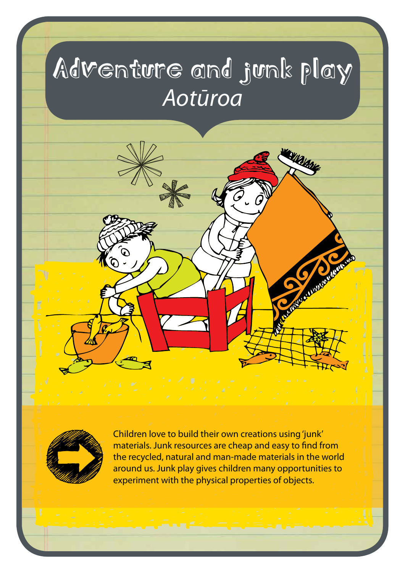## Adventure and junk play *Aotūroa*

**WARIANE** 



Children love to build their own creations using 'junk' materials. Junk resources are cheap and easy to find from the recycled, natural and man-made materials in the world around us. Junk play gives children many opportunities to experiment with the physical properties of objects.